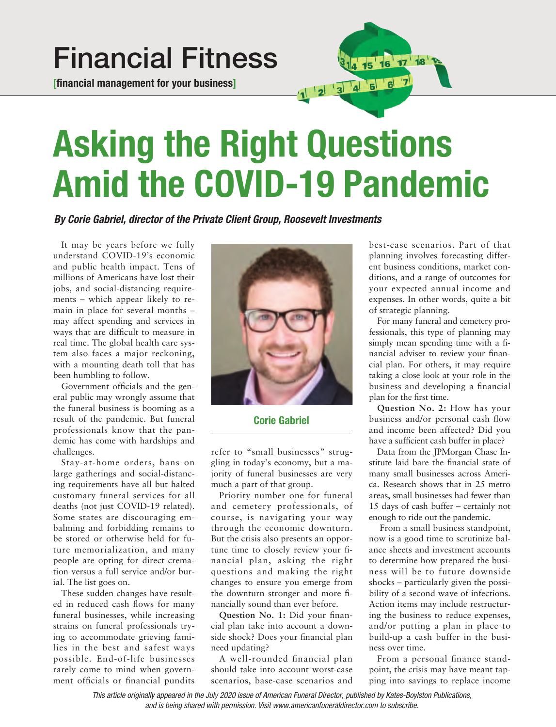## **Financial Fitness**

**[financial management for your business]**



## **Asking the Right Questions Amid the COVID-19 Pandemic**

*By Corie Gabriel, director of the Private Client Group, Roosevelt Investments*

It may be years before we fully understand COVID-19's economic and public health impact. Tens of millions of Americans have lost their jobs, and social-distancing requirements – which appear likely to remain in place for several months – may affect spending and services in ways that are difficult to measure in real time. The global health care system also faces a major reckoning, with a mounting death toll that has been humbling to follow.

Government officials and the general public may wrongly assume that the funeral business is booming as a result of the pandemic. But funeral professionals know that the pandemic has come with hardships and challenges.

Stay-at-home orders, bans on large gatherings and social-distancing requirements have all but halted customary funeral services for all deaths (not just COVID-19 related). Some states are discouraging embalming and forbidding remains to be stored or otherwise held for future memorialization, and many people are opting for direct cremation versus a full service and/or burial. The list goes on.

These sudden changes have resulted in reduced cash flows for many funeral businesses, while increasing strains on funeral professionals trying to accommodate grieving families in the best and safest ways possible. End-of-life businesses rarely come to mind when government officials or financial pundits



**Corie Gabriel**

refer to "small businesses" struggling in today's economy, but a majority of funeral businesses are very much a part of that group.

Priority number one for funeral and cemetery professionals, of course, is navigating your way through the economic downturn. But the crisis also presents an opportune time to closely review your financial plan, asking the right questions and making the right changes to ensure you emerge from the downturn stronger and more financially sound than ever before.

**Question No. 1:** Did your financial plan take into account a downside shock? Does your financial plan need updating?

A well-rounded financial plan should take into account worst-case scenarios, base-case scenarios and best-case scenarios. Part of that planning involves forecasting different business conditions, market conditions, and a range of outcomes for your expected annual income and expenses. In other words, quite a bit of strategic planning.

For many funeral and cemetery professionals, this type of planning may simply mean spending time with a financial adviser to review your financial plan. For others, it may require taking a close look at your role in the business and developing a financial plan for the first time.

**Question No. 2:** How has your business and/or personal cash flow and income been affected? Did you have a sufficient cash buffer in place?

Data from the JPMorgan Chase Institute laid bare the financial state of many small businesses across America. Research shows that in 25 metro areas, small businesses had fewer than 15 days of cash buffer – certainly not enough to ride out the pandemic.

From a small business standpoint, now is a good time to scrutinize balance sheets and investment accounts to determine how prepared the business will be to future downside shocks – particularly given the possibility of a second wave of infections. Action items may include restructuring the business to reduce expenses, and/or putting a plan in place to build-up a cash buffer in the business over time.

From a personal finance standpoint, the crisis may have meant tapping into savings to replace income

*This article originally appeared in the July 2020 issue of American Funeral Director, published by Kates-Boylston Publications, and is being shared with permission. Visit www.americanfuneraldirector.com to subscribe.*